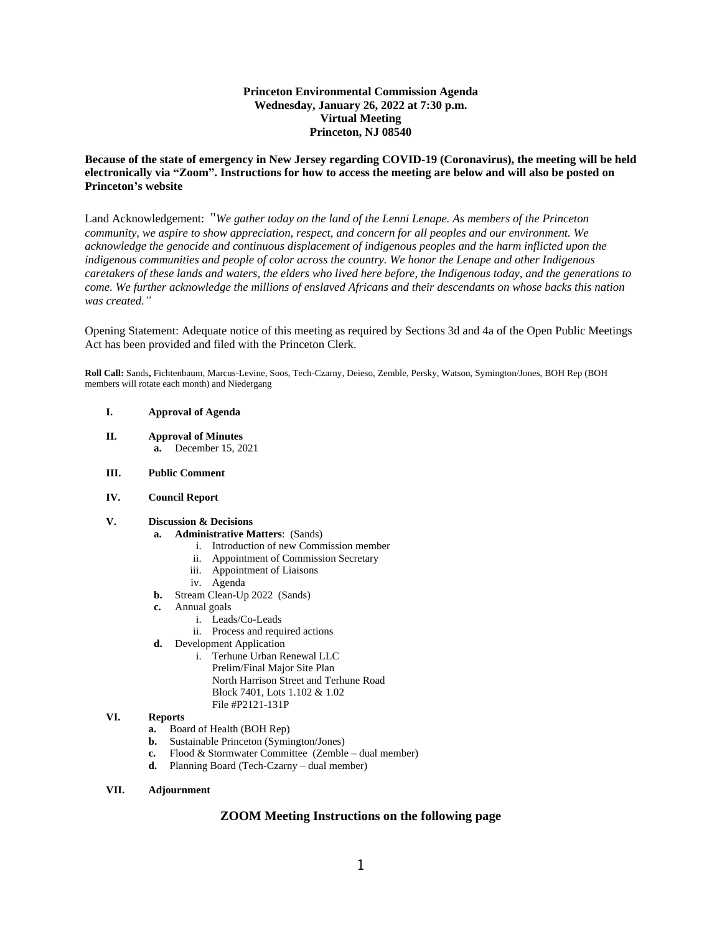## **Princeton Environmental Commission Agenda Wednesday, January 26, 2022 at 7:30 p.m. Virtual Meeting Princeton, NJ 08540**

## **Because of the state of emergency in New Jersey regarding COVID-19 (Coronavirus), the meeting will be held electronically via "Zoom". Instructions for how to access the meeting are below and will also be posted on Princeton's website**

Land Acknowledgement: "*We gather today on the land of the Lenni Lenape. As members of the Princeton community, we aspire to show appreciation, respect, and concern for all peoples and our environment. We acknowledge the genocide and continuous displacement of indigenous peoples and the harm inflicted upon the indigenous communities and people of color across the country. We honor the Lenape and other Indigenous caretakers of these lands and waters, the elders who lived here before, the Indigenous today, and the generations to come. We further acknowledge the millions of enslaved Africans and their descendants on whose backs this nation was created."*

Opening Statement: Adequate notice of this meeting as required by Sections 3d and 4a of the Open Public Meetings Act has been provided and filed with the Princeton Clerk.

**Roll Call:** Sands**,** Fichtenbaum, Marcus-Levine, Soos, Tech-Czarny, Deieso, Zemble, Persky, Watson, Symington/Jones, BOH Rep (BOH members will rotate each month) and Niedergang

#### **I. Approval of Agenda**

**II. Approval of Minutes a.** December 15, 2021

#### **III. Public Comment**

### **IV. Council Report**

# **V. Discussion & Decisions**

- **a. Administrative Matters**: (Sands)
	- i. Introduction of new Commission member
	- ii. Appointment of Commission Secretary
	- iii. Appointment of Liaisons
	- iv. Agenda
- **b.** Stream Clean-Up 2022 (Sands)
- **c.** Annual goals
	- i. Leads/Co-Leads
		- ii. Process and required actions
- **d.** Development Application
	- i. Terhune Urban Renewal LLC Prelim/Final Major Site Plan North Harrison Street and Terhune Road Block 7401, Lots 1.102 & 1.02 File #P2121-131P

#### **VI. Reports**

- **a.** Board of Health (BOH Rep)
- **b.** Sustainable Princeton (Symington/Jones)
- **c.** Flood & Stormwater Committee (Zemble dual member)
- **d.** Planning Board (Tech-Czarny dual member)

### **VII. Adjournment**

# **ZOOM Meeting Instructions on the following page**